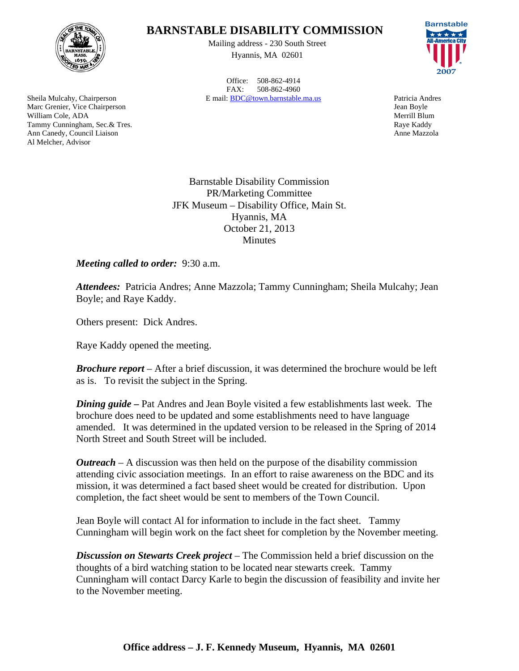

Sheila Mulcahy, Chairperson Marc Grenier, Vice Chairperson William Cole, ADA Tammy Cunningham, Sec.& Tres. Ann Canedy, Council Liaison Al Melcher, Advisor

## **BARNSTABLE DISABILITY COMMISSION**

Mailing address - 230 South Street Hyannis, MA 02601

Office: 508-862-4914 FAX: 508-862-4960 E mail: BDC@town.barnstable.ma.us Patricia Andres



Jean Boyle Merrill Blum Raye Kaddy Anne Mazzola

Barnstable Disability Commission PR/Marketing Committee JFK Museum – Disability Office, Main St. Hyannis, MA October 21, 2013 **Minutes** 

*Meeting called to order:* 9:30 a.m.

*Attendees:* Patricia Andres; Anne Mazzola; Tammy Cunningham; Sheila Mulcahy; Jean Boyle; and Raye Kaddy.

Others present: Dick Andres.

Raye Kaddy opened the meeting.

*Brochure report* – After a brief discussion, it was determined the brochure would be left as is. To revisit the subject in the Spring.

*Dining guide* **–** Pat Andres and Jean Boyle visited a few establishments last week. The brochure does need to be updated and some establishments need to have language amended. It was determined in the updated version to be released in the Spring of 2014 North Street and South Street will be included.

*Outreach* – A discussion was then held on the purpose of the disability commission attending civic association meetings. In an effort to raise awareness on the BDC and its mission, it was determined a fact based sheet would be created for distribution. Upon completion, the fact sheet would be sent to members of the Town Council.

Jean Boyle will contact Al for information to include in the fact sheet. Tammy Cunningham will begin work on the fact sheet for completion by the November meeting.

*Discussion on Stewarts Creek project* – The Commission held a brief discussion on the thoughts of a bird watching station to be located near stewarts creek. Tammy Cunningham will contact Darcy Karle to begin the discussion of feasibility and invite her to the November meeting.